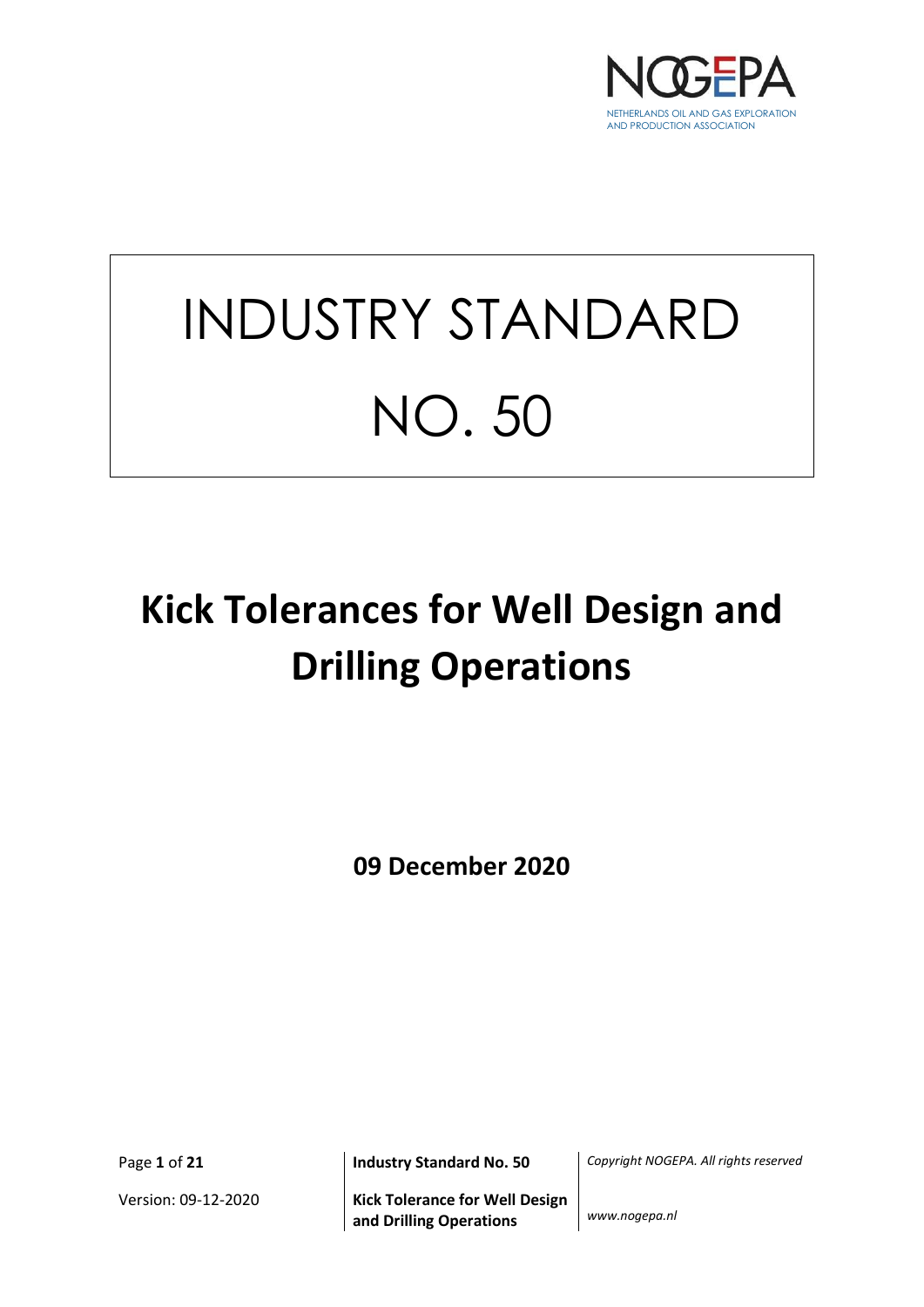

# INDUSTRY STANDARD NO. 50

## **Kick Tolerances for Well Design and Drilling Operations**

**09 December 2020**

Version: 09-12-2020 **Kick Tolerance for Well Design and Drilling Operations** *www.nogepa.nl*

Page **1** of **21 Industry Standard No. 50** *Copyright NOGEPA. All rights reserved*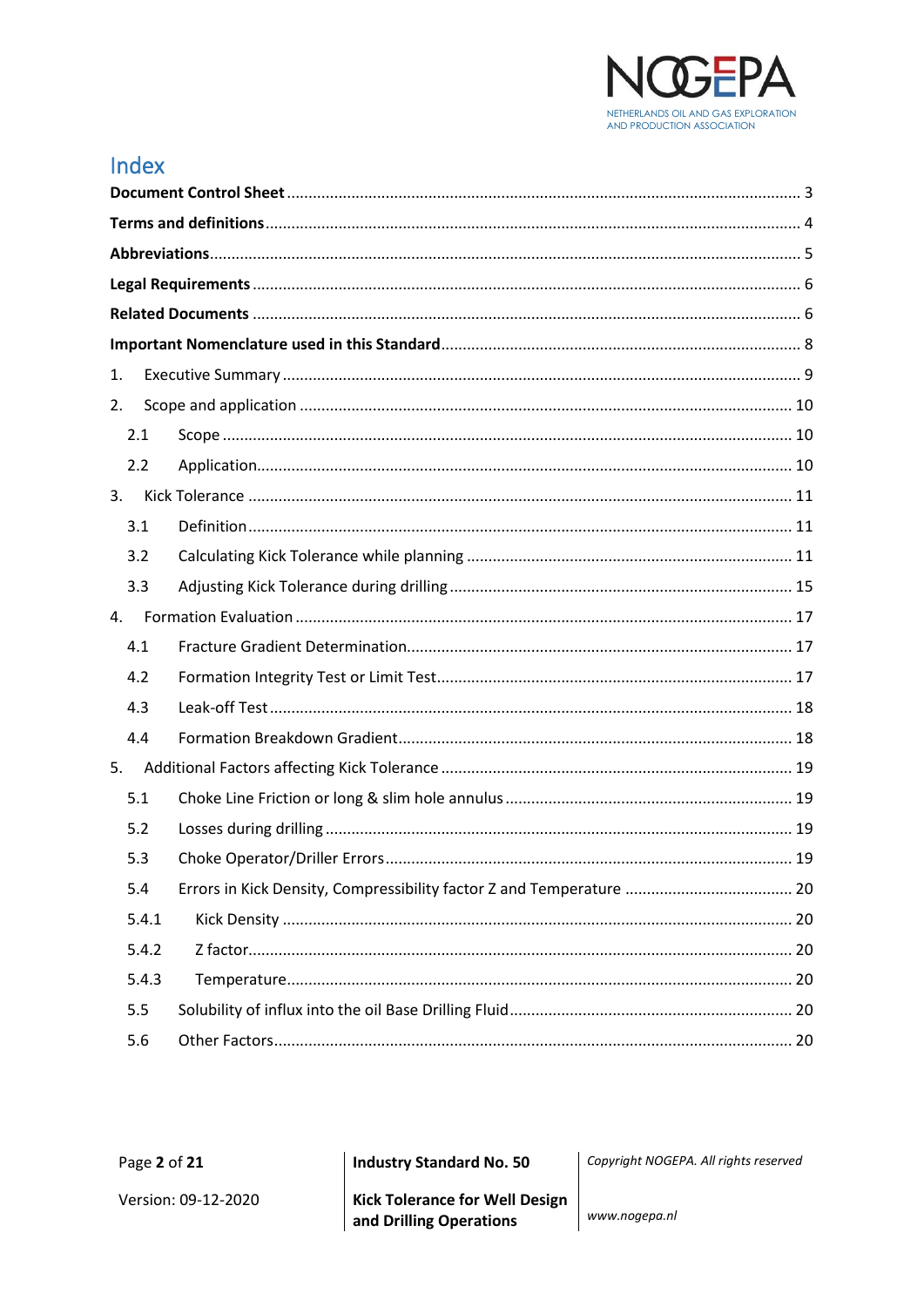

## Index

| 1.    |  |  |
|-------|--|--|
| 2.    |  |  |
| 2.1   |  |  |
| 2.2   |  |  |
| 3.    |  |  |
| 3.1   |  |  |
| 3.2   |  |  |
| 3.3   |  |  |
| 4.    |  |  |
| 4.1   |  |  |
| 4.2   |  |  |
| 4.3   |  |  |
| 4.4   |  |  |
| 5.    |  |  |
| 5.1   |  |  |
| 5.2   |  |  |
| 5.3   |  |  |
| 5.4   |  |  |
| 5.4.1 |  |  |
| 5.4.2 |  |  |
| 5.4.3 |  |  |
| 5.5   |  |  |
| 5.6   |  |  |

**Industry Standard No. 50** 

Copyright NOGEPA. All rights reserved

www.nogepa.nl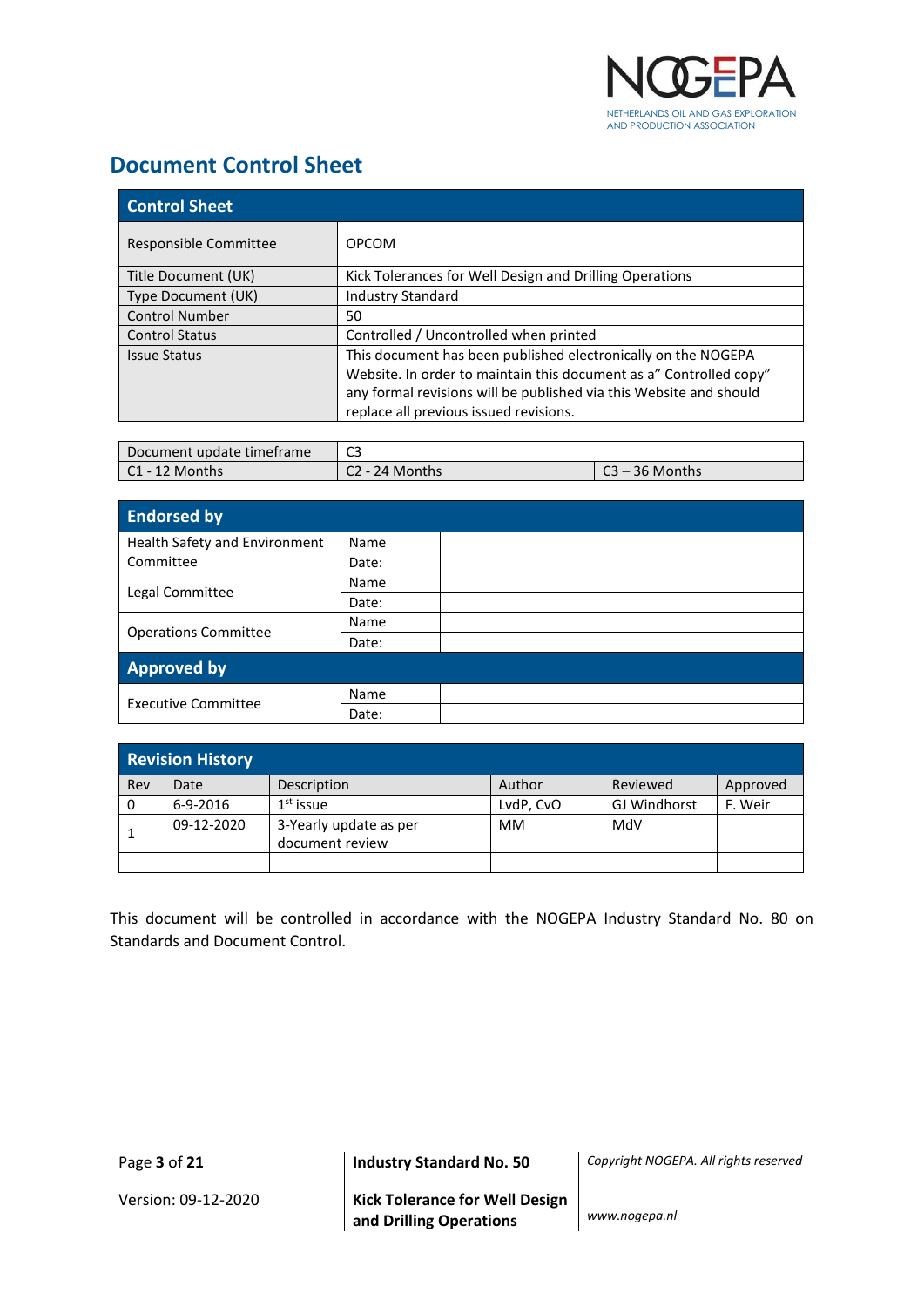

## <span id="page-2-0"></span>**Document Control Sheet**

| <b>Control Sheet</b>  |                                                                    |  |  |
|-----------------------|--------------------------------------------------------------------|--|--|
| Responsible Committee | <b>OPCOM</b>                                                       |  |  |
| Title Document (UK)   | Kick Tolerances for Well Design and Drilling Operations            |  |  |
| Type Document (UK)    | <b>Industry Standard</b>                                           |  |  |
| <b>Control Number</b> | 50                                                                 |  |  |
| <b>Control Status</b> | Controlled / Uncontrolled when printed                             |  |  |
| <b>Issue Status</b>   | This document has been published electronically on the NOGEPA      |  |  |
|                       | Website. In order to maintain this document as a" Controlled copy" |  |  |
|                       | any formal revisions will be published via this Website and should |  |  |
|                       | replace all previous issued revisions.                             |  |  |

| Document update timeframe | $\sim$<br>ت ب  |           |
|---------------------------|----------------|-----------|
| l C1 - 12 Months          | 24 Months<br>u | 36 Months |

| <b>Endorsed by</b>            |       |  |
|-------------------------------|-------|--|
| Health Safety and Environment | Name  |  |
| Committee                     | Date: |  |
|                               | Name  |  |
| Legal Committee               | Date: |  |
|                               | Name  |  |
| <b>Operations Committee</b>   | Date: |  |
| <b>Approved by</b>            |       |  |
|                               | Name  |  |
| <b>Executive Committee</b>    | Date: |  |

|     | <b>Revision History</b> |                                           |           |              |          |
|-----|-------------------------|-------------------------------------------|-----------|--------------|----------|
| Rev | Date                    | Description                               | Author    | Reviewed     | Approved |
| 0   | $6-9-2016$              | $1st$ issue                               | LvdP, CvO | GJ Windhorst | F. Weir  |
|     | 09-12-2020              | 3-Yearly update as per<br>document review | МM        | MdV          |          |
|     |                         |                                           |           |              |          |

This document will be controlled in accordance with the NOGEPA Industry Standard No. 80 on Standards and Document Control.

Page **3** of **21 Industry Standard No. 50** *Copyright NOGEPA. All rights reserved*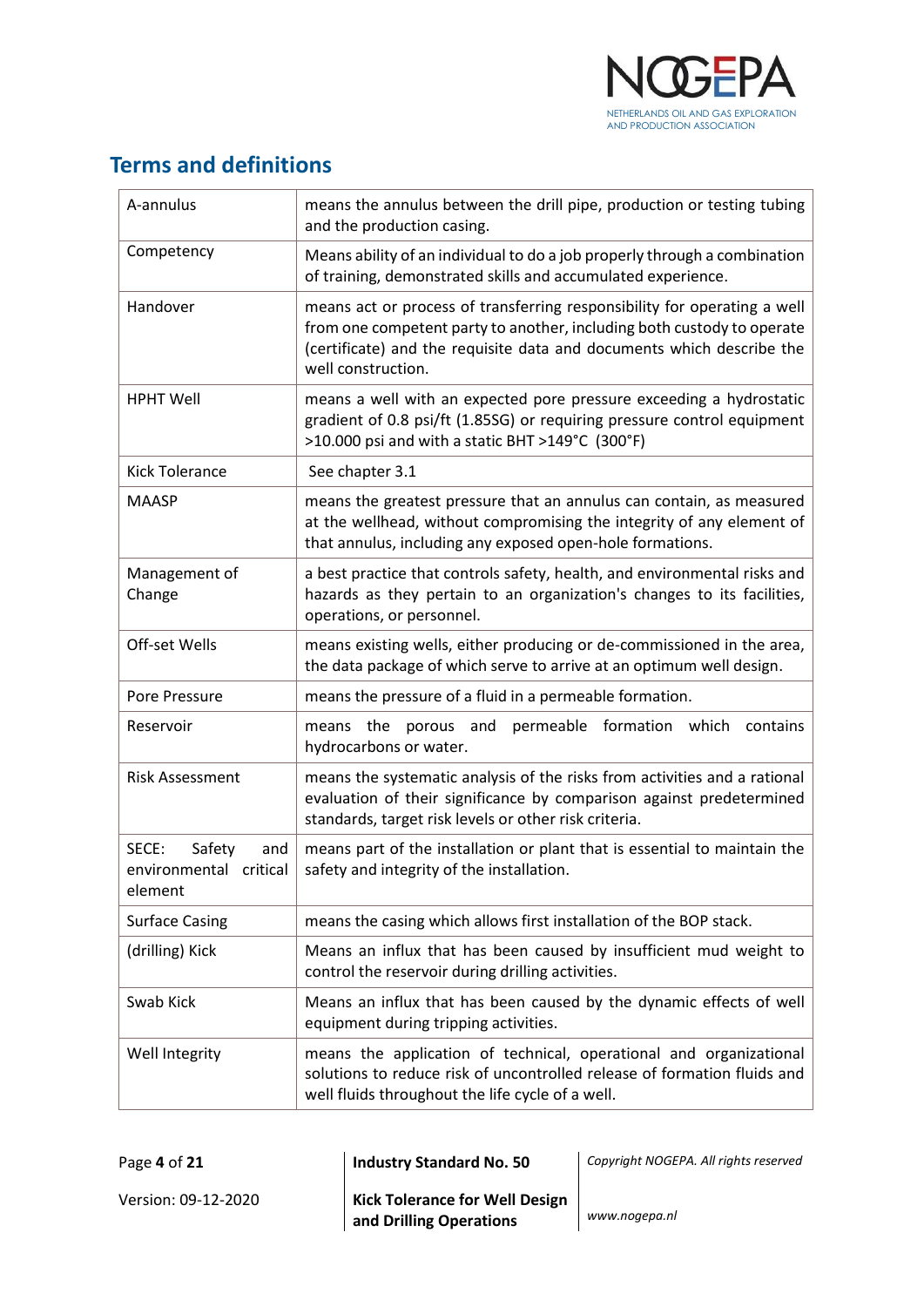

## <span id="page-3-0"></span>**Terms and definitions**

| A-annulus                                                   | means the annulus between the drill pipe, production or testing tubing<br>and the production casing.                                                                                                                                              |
|-------------------------------------------------------------|---------------------------------------------------------------------------------------------------------------------------------------------------------------------------------------------------------------------------------------------------|
| Competency                                                  | Means ability of an individual to do a job properly through a combination<br>of training, demonstrated skills and accumulated experience.                                                                                                         |
| Handover                                                    | means act or process of transferring responsibility for operating a well<br>from one competent party to another, including both custody to operate<br>(certificate) and the requisite data and documents which describe the<br>well construction. |
| <b>HPHT Well</b>                                            | means a well with an expected pore pressure exceeding a hydrostatic<br>gradient of 0.8 psi/ft (1.85SG) or requiring pressure control equipment<br>>10.000 psi and with a static BHT >149°C (300°F)                                                |
| <b>Kick Tolerance</b>                                       | See chapter 3.1                                                                                                                                                                                                                                   |
| <b>MAASP</b>                                                | means the greatest pressure that an annulus can contain, as measured<br>at the wellhead, without compromising the integrity of any element of<br>that annulus, including any exposed open-hole formations.                                        |
| Management of<br>Change                                     | a best practice that controls safety, health, and environmental risks and<br>hazards as they pertain to an organization's changes to its facilities,<br>operations, or personnel.                                                                 |
| Off-set Wells                                               | means existing wells, either producing or de-commissioned in the area,<br>the data package of which serve to arrive at an optimum well design.                                                                                                    |
| Pore Pressure                                               | means the pressure of a fluid in a permeable formation.                                                                                                                                                                                           |
| Reservoir                                                   | formation which<br>means the porous and<br>permeable<br>contains<br>hydrocarbons or water.                                                                                                                                                        |
| <b>Risk Assessment</b>                                      | means the systematic analysis of the risks from activities and a rational<br>evaluation of their significance by comparison against predetermined<br>standards, target risk levels or other risk criteria.                                        |
| SECE:<br>Safety<br>and<br>environmental critical<br>element | means part of the installation or plant that is essential to maintain the<br>safety and integrity of the installation.                                                                                                                            |
| <b>Surface Casing</b>                                       | means the casing which allows first installation of the BOP stack.                                                                                                                                                                                |
| (drilling) Kick                                             | Means an influx that has been caused by insufficient mud weight to<br>control the reservoir during drilling activities.                                                                                                                           |
| Swab Kick                                                   | Means an influx that has been caused by the dynamic effects of well<br>equipment during tripping activities.                                                                                                                                      |
| Well Integrity                                              | means the application of technical, operational and organizational<br>solutions to reduce risk of uncontrolled release of formation fluids and<br>well fluids throughout the life cycle of a well.                                                |

| Page 4 of 21        | Industry Standard No. 50              |
|---------------------|---------------------------------------|
| Version: 09-12-2020 | <b>Kick Tolerance for Well Design</b> |

Page **4** of **21 Industry Standard No. 50** *Copyright NOGEPA. All rights reserved*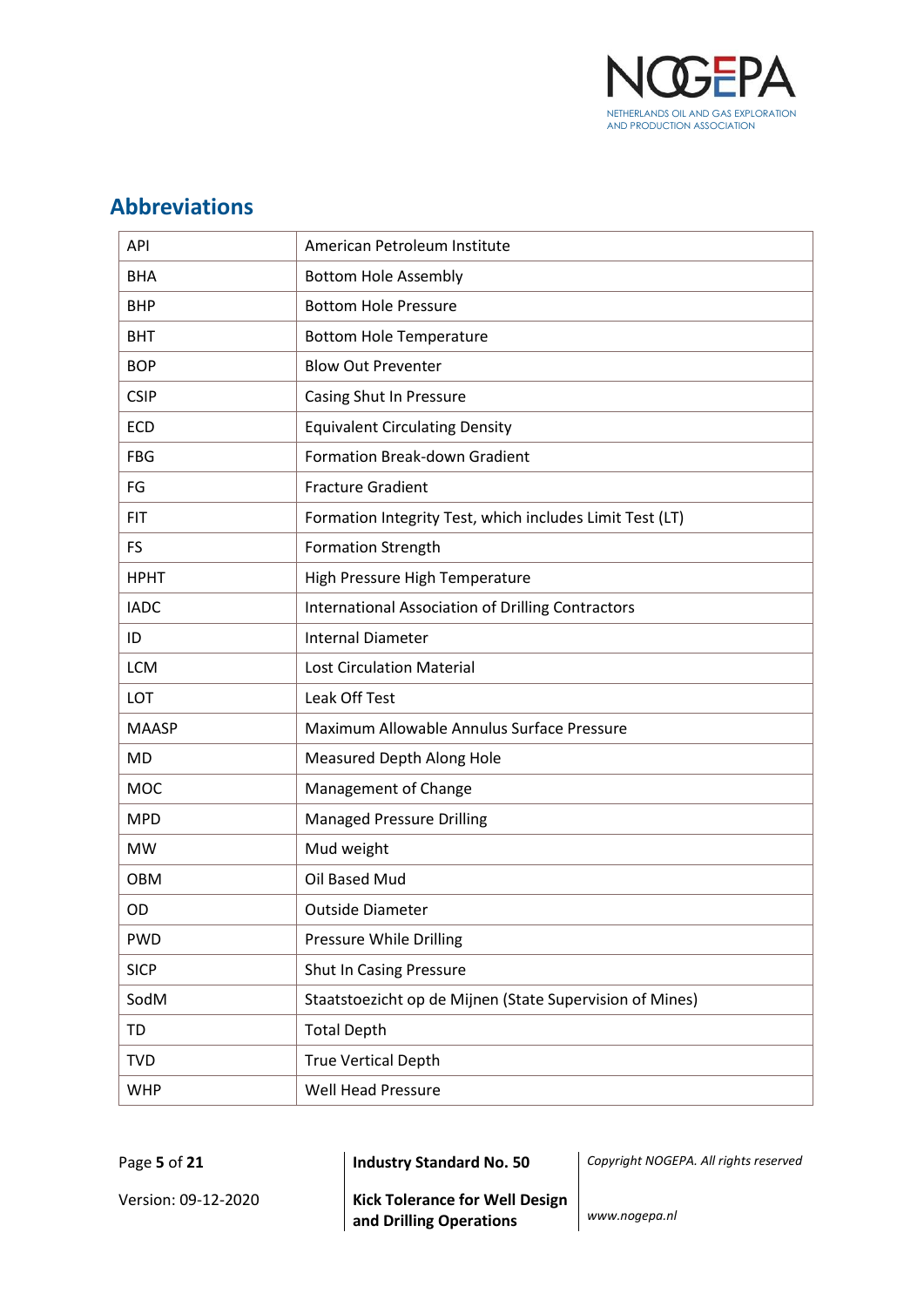

## <span id="page-4-0"></span>**Abbreviations**

| API          | American Petroleum Institute                             |
|--------------|----------------------------------------------------------|
| <b>BHA</b>   | <b>Bottom Hole Assembly</b>                              |
| <b>BHP</b>   | <b>Bottom Hole Pressure</b>                              |
| <b>BHT</b>   | <b>Bottom Hole Temperature</b>                           |
| <b>BOP</b>   | <b>Blow Out Preventer</b>                                |
| <b>CSIP</b>  | Casing Shut In Pressure                                  |
| <b>ECD</b>   | <b>Equivalent Circulating Density</b>                    |
| <b>FBG</b>   | <b>Formation Break-down Gradient</b>                     |
| FG           | <b>Fracture Gradient</b>                                 |
| <b>FIT</b>   | Formation Integrity Test, which includes Limit Test (LT) |
| <b>FS</b>    | <b>Formation Strength</b>                                |
| <b>HPHT</b>  | High Pressure High Temperature                           |
| <b>IADC</b>  | International Association of Drilling Contractors        |
| ID           | <b>Internal Diameter</b>                                 |
| <b>LCM</b>   | <b>Lost Circulation Material</b>                         |
| LOT          | Leak Off Test                                            |
| <b>MAASP</b> | Maximum Allowable Annulus Surface Pressure               |
| <b>MD</b>    | Measured Depth Along Hole                                |
| <b>MOC</b>   | Management of Change                                     |
| <b>MPD</b>   | <b>Managed Pressure Drilling</b>                         |
| <b>MW</b>    | Mud weight                                               |
| <b>OBM</b>   | Oil Based Mud                                            |
| OD           | <b>Outside Diameter</b>                                  |
| <b>PWD</b>   | Pressure While Drilling                                  |
| <b>SICP</b>  | Shut In Casing Pressure                                  |
| SodM         | Staatstoezicht op de Mijnen (State Supervision of Mines) |
| TD           | <b>Total Depth</b>                                       |
| <b>TVD</b>   | <b>True Vertical Depth</b>                               |
| <b>WHP</b>   | <b>Well Head Pressure</b>                                |

Page **5** of **21 Industry Standard No. 50** *Copyright NOGEPA. All rights reserved*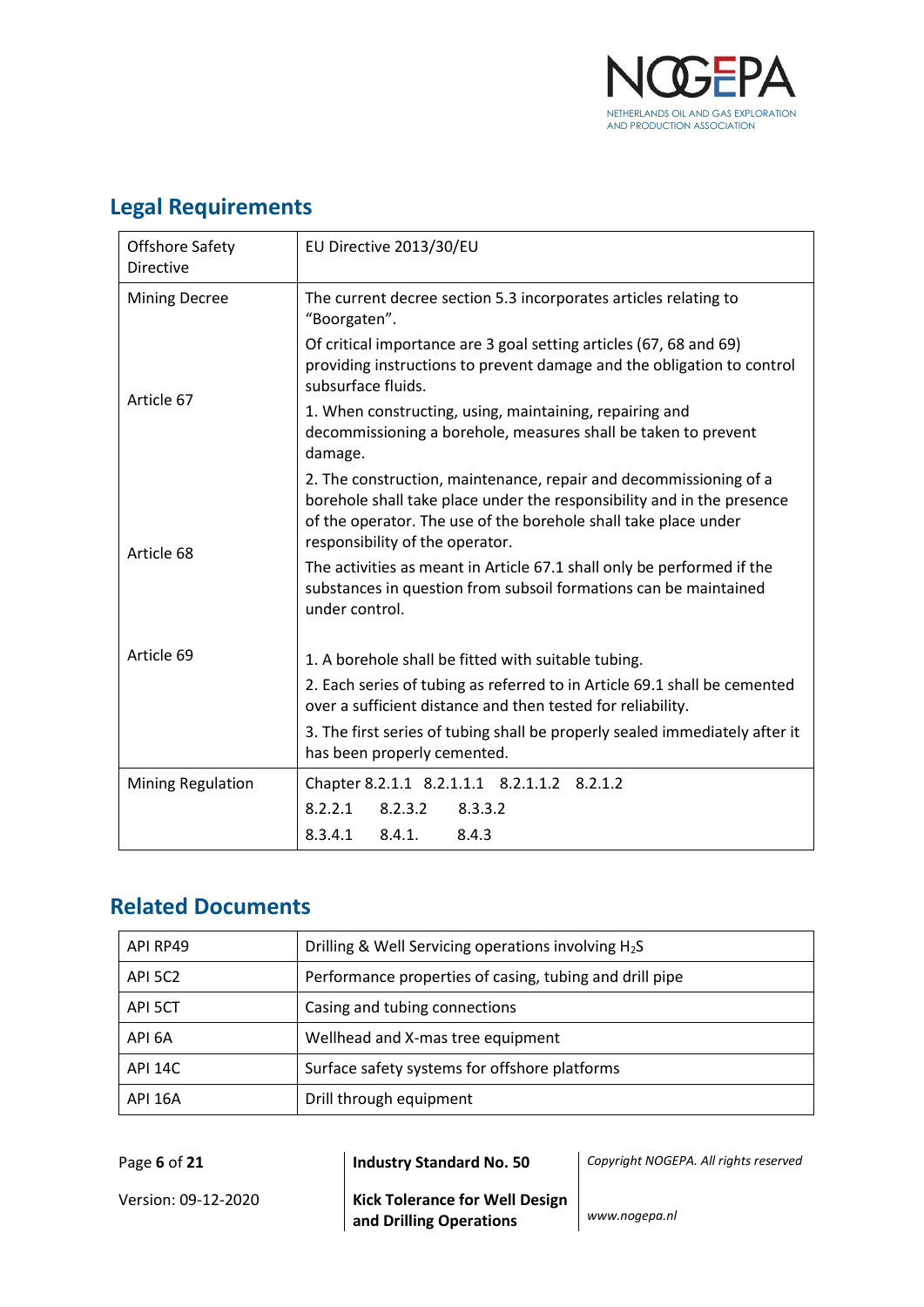

| Legal Regulierients |                 |  |
|---------------------|-----------------|--|
| Offshore Safety     | EU Directive 20 |  |
| Diroctivo           |                 |  |

## <span id="page-5-0"></span>**Legal Requirements**

| <b>Offshore Safety</b><br>Directive                               | EU Directive 2013/30/EU                                                                                                                                                                                                                           |  |
|-------------------------------------------------------------------|---------------------------------------------------------------------------------------------------------------------------------------------------------------------------------------------------------------------------------------------------|--|
| <b>Mining Decree</b>                                              | The current decree section 5.3 incorporates articles relating to<br>"Boorgaten".                                                                                                                                                                  |  |
|                                                                   | Of critical importance are 3 goal setting articles (67, 68 and 69)<br>providing instructions to prevent damage and the obligation to control<br>subsurface fluids.                                                                                |  |
| Article 67                                                        | 1. When constructing, using, maintaining, repairing and<br>decommissioning a borehole, measures shall be taken to prevent<br>damage.                                                                                                              |  |
| Article 68                                                        | 2. The construction, maintenance, repair and decommissioning of a<br>borehole shall take place under the responsibility and in the presence<br>of the operator. The use of the borehole shall take place under<br>responsibility of the operator. |  |
|                                                                   | The activities as meant in Article 67.1 shall only be performed if the<br>substances in question from subsoil formations can be maintained<br>under control.                                                                                      |  |
| Article 69<br>1. A borehole shall be fitted with suitable tubing. |                                                                                                                                                                                                                                                   |  |
|                                                                   | 2. Each series of tubing as referred to in Article 69.1 shall be cemented<br>over a sufficient distance and then tested for reliability.                                                                                                          |  |
|                                                                   | 3. The first series of tubing shall be properly sealed immediately after it<br>has been properly cemented.                                                                                                                                        |  |
| <b>Mining Regulation</b>                                          | Chapter 8.2.1.1 8.2.1.1.1 8.2.1.1.2 8.2.1.2                                                                                                                                                                                                       |  |
|                                                                   | 8.2.2.1<br>8.2.3.2<br>8.3.3.2                                                                                                                                                                                                                     |  |
|                                                                   | 8.4.1.<br>8.4.3<br>8.3.4.1                                                                                                                                                                                                                        |  |

## <span id="page-5-1"></span>**Related Documents**

| API RP49       | Drilling & Well Servicing operations involving $H_2S$   |
|----------------|---------------------------------------------------------|
| API 5C2        | Performance properties of casing, tubing and drill pipe |
| API 5CT        | Casing and tubing connections                           |
| API 6A         | Wellhead and X-mas tree equipment                       |
| <b>API 14C</b> | Surface safety systems for offshore platforms           |
| API 16A        | Drill through equipment                                 |

Version: 09-12-2020 **Kick Tolerance for Well Design and Drilling Operations** *www.nogepa.nl*

Page **6** of **21 Industry Standard No. 50** *Copyright NOGEPA. All rights reserved*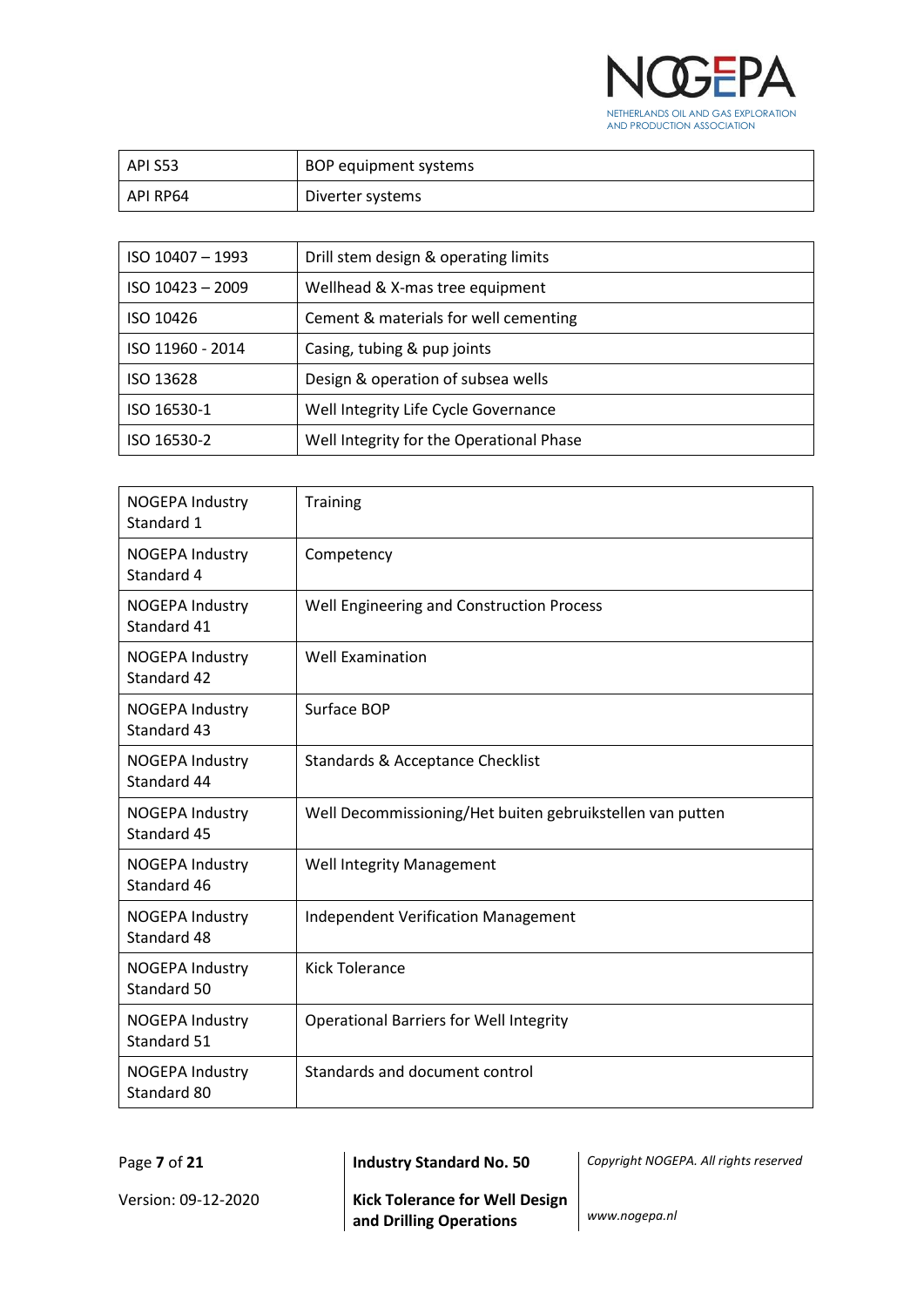

| API S53  | BOP equipment systems |
|----------|-----------------------|
| API RP64 | Diverter systems      |

| $ISO$ 10407 - 1993 | Drill stem design & operating limits     |
|--------------------|------------------------------------------|
| $ISO$ 10423 - 2009 | Wellhead & X-mas tree equipment          |
| ISO 10426          | Cement & materials for well cementing    |
| ISO 11960 - 2014   | Casing, tubing & pup joints              |
| ISO 13628          | Design & operation of subsea wells       |
| ISO 16530-1        | Well Integrity Life Cycle Governance     |
| ISO 16530-2        | Well Integrity for the Operational Phase |

| <b>NOGEPA Industry</b><br>Standard 1  | <b>Training</b>                                           |
|---------------------------------------|-----------------------------------------------------------|
| <b>NOGEPA Industry</b><br>Standard 4  | Competency                                                |
| <b>NOGEPA Industry</b><br>Standard 41 | Well Engineering and Construction Process                 |
| <b>NOGEPA Industry</b><br>Standard 42 | <b>Well Examination</b>                                   |
| <b>NOGEPA Industry</b><br>Standard 43 | Surface BOP                                               |
| <b>NOGEPA Industry</b><br>Standard 44 | Standards & Acceptance Checklist                          |
| <b>NOGEPA Industry</b><br>Standard 45 | Well Decommissioning/Het buiten gebruikstellen van putten |
| <b>NOGEPA Industry</b><br>Standard 46 | Well Integrity Management                                 |
| <b>NOGEPA Industry</b><br>Standard 48 | <b>Independent Verification Management</b>                |
| <b>NOGEPA Industry</b><br>Standard 50 | <b>Kick Tolerance</b>                                     |
| <b>NOGEPA Industry</b><br>Standard 51 | <b>Operational Barriers for Well Integrity</b>            |
| <b>NOGEPA Industry</b><br>Standard 80 | Standards and document control                            |

Page **7** of **21 Industry Standard No. 50** *Copyright NOGEPA. All rights reserved*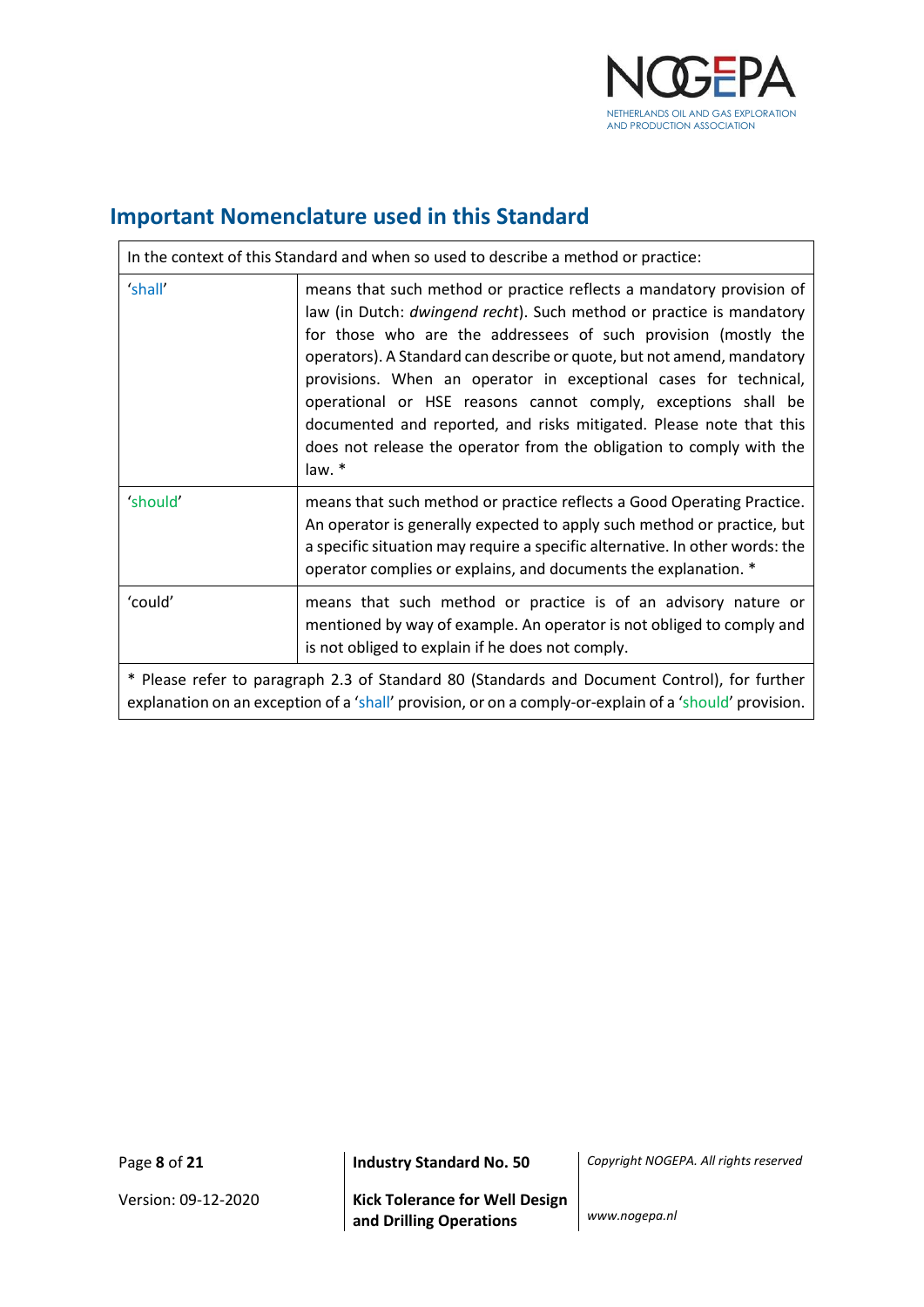

## <span id="page-7-0"></span>**Important Nomenclature used in this Standard**

| In the context of this Standard and when so used to describe a method or practice:                                                                                                                     |                                                                                                                                                                                                                                                                                                                                                                                                                                                                                                                                                                                          |  |
|--------------------------------------------------------------------------------------------------------------------------------------------------------------------------------------------------------|------------------------------------------------------------------------------------------------------------------------------------------------------------------------------------------------------------------------------------------------------------------------------------------------------------------------------------------------------------------------------------------------------------------------------------------------------------------------------------------------------------------------------------------------------------------------------------------|--|
| 'shall'                                                                                                                                                                                                | means that such method or practice reflects a mandatory provision of<br>law (in Dutch: dwingend recht). Such method or practice is mandatory<br>for those who are the addressees of such provision (mostly the<br>operators). A Standard can describe or quote, but not amend, mandatory<br>provisions. When an operator in exceptional cases for technical,<br>operational or HSE reasons cannot comply, exceptions shall be<br>documented and reported, and risks mitigated. Please note that this<br>does not release the operator from the obligation to comply with the<br>law. $*$ |  |
| 'should'                                                                                                                                                                                               | means that such method or practice reflects a Good Operating Practice.<br>An operator is generally expected to apply such method or practice, but<br>a specific situation may require a specific alternative. In other words: the<br>operator complies or explains, and documents the explanation. *                                                                                                                                                                                                                                                                                     |  |
| 'could'                                                                                                                                                                                                | means that such method or practice is of an advisory nature or<br>mentioned by way of example. An operator is not obliged to comply and<br>is not obliged to explain if he does not comply.                                                                                                                                                                                                                                                                                                                                                                                              |  |
| * Please refer to paragraph 2.3 of Standard 80 (Standards and Document Control), for further<br>explanation on an exception of a 'shall' provision, or on a comply-or-explain of a 'should' provision. |                                                                                                                                                                                                                                                                                                                                                                                                                                                                                                                                                                                          |  |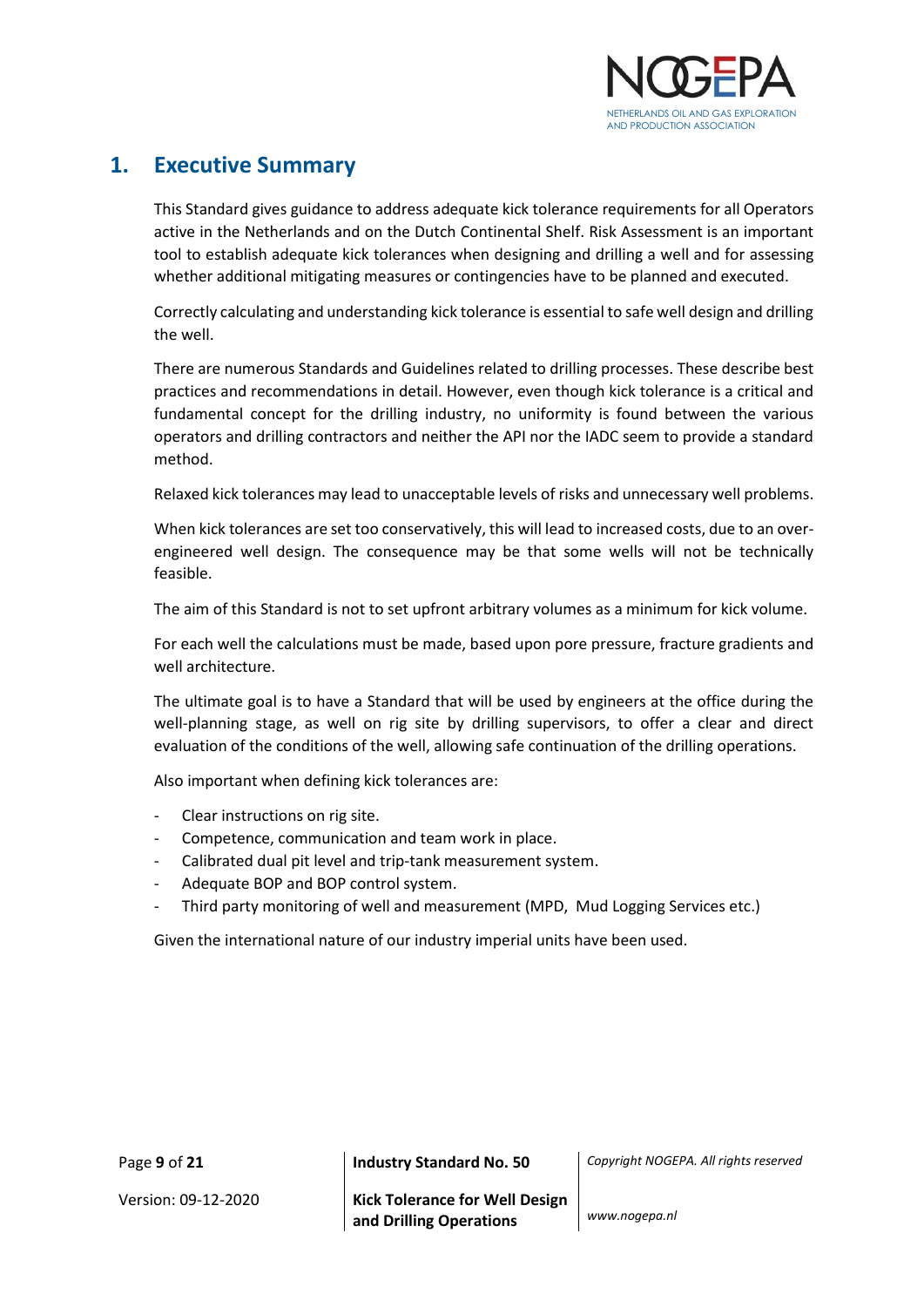

## <span id="page-8-0"></span>**1. Executive Summary**

This Standard gives guidance to address adequate kick tolerance requirements for all Operators active in the Netherlands and on the Dutch Continental Shelf. Risk Assessment is an important tool to establish adequate kick tolerances when designing and drilling a well and for assessing whether additional mitigating measures or contingencies have to be planned and executed.

Correctly calculating and understanding kick tolerance is essential to safe well design and drilling the well.

There are numerous Standards and Guidelines related to drilling processes. These describe best practices and recommendations in detail. However, even though kick tolerance is a critical and fundamental concept for the drilling industry, no uniformity is found between the various operators and drilling contractors and neither the API nor the IADC seem to provide a standard method.

Relaxed kick tolerances may lead to unacceptable levels of risks and unnecessary well problems.

When kick tolerances are set too conservatively, this will lead to increased costs, due to an overengineered well design. The consequence may be that some wells will not be technically feasible.

The aim of this Standard is not to set upfront arbitrary volumes as a minimum for kick volume.

For each well the calculations must be made, based upon pore pressure, fracture gradients and well architecture.

The ultimate goal is to have a Standard that will be used by engineers at the office during the well-planning stage, as well on rig site by drilling supervisors, to offer a clear and direct evaluation of the conditions of the well, allowing safe continuation of the drilling operations.

Also important when defining kick tolerances are:

- Clear instructions on rig site.
- Competence, communication and team work in place.
- Calibrated dual pit level and trip-tank measurement system.
- Adequate BOP and BOP control system.
- Third party monitoring of well and measurement (MPD, Mud Logging Services etc.)

Given the international nature of our industry imperial units have been used.

Page **9** of **21 Industry Standard No. 50** *Copyright NOGEPA. All rights reserved*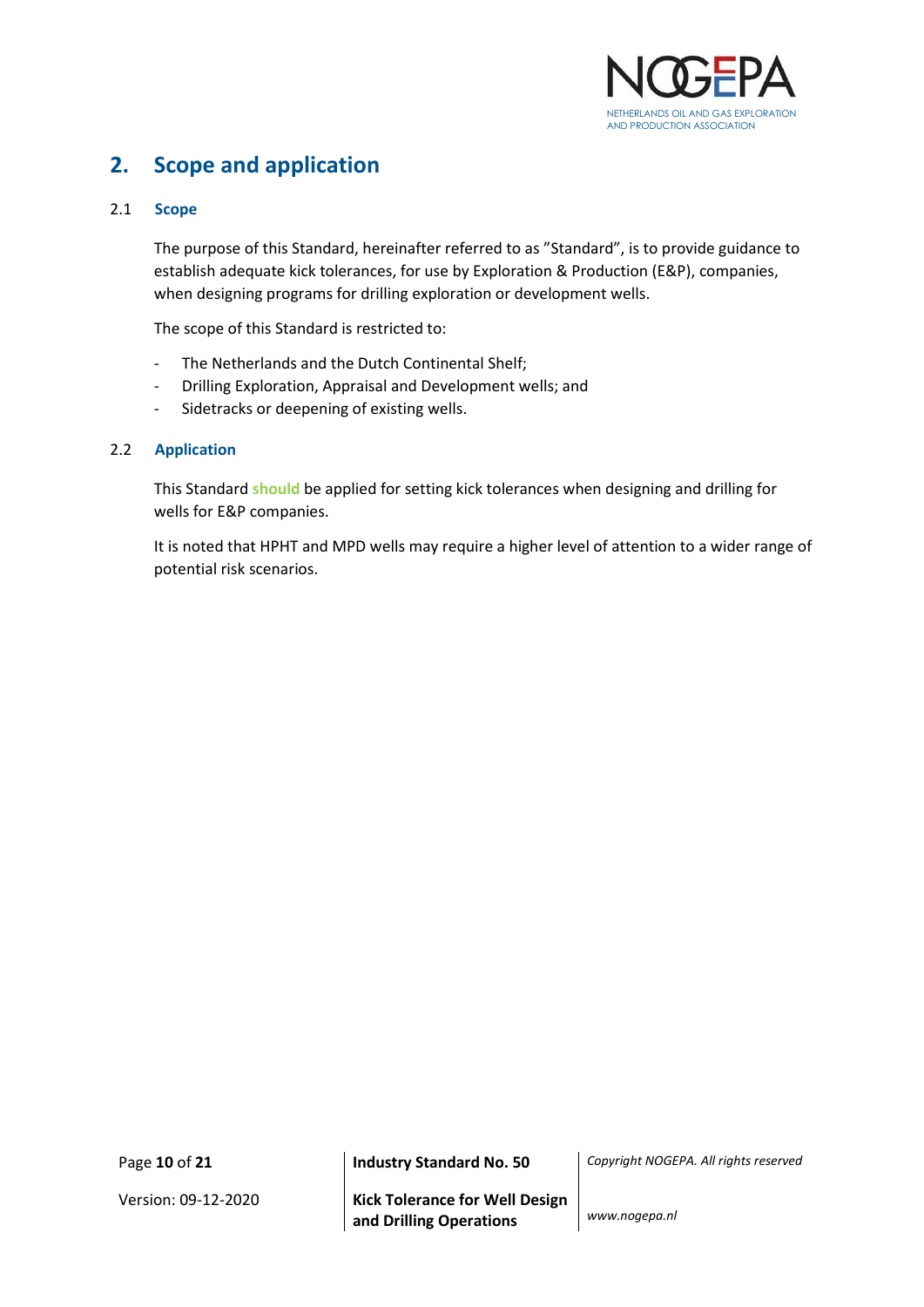

## <span id="page-9-0"></span>**2. Scope and application**

## <span id="page-9-1"></span>2.1 **Scope**

The purpose of this Standard, hereinafter referred to as "Standard", is to provide guidance to establish adequate kick tolerances, for use by Exploration & Production (E&P), companies, when designing programs for drilling exploration or development wells.

The scope of this Standard is restricted to:

- The Netherlands and the Dutch Continental Shelf;
- Drilling Exploration, Appraisal and Development wells; and
- Sidetracks or deepening of existing wells.

#### <span id="page-9-2"></span>2.2 **Application**

This Standard **should** be applied for setting kick tolerances when designing and drilling for wells for E&P companies.

It is noted that HPHT and MPD wells may require a higher level of attention to a wider range of potential risk scenarios.

Version: 09-12-2020 **Kick Tolerance for Well Design and Drilling Operations** *www.nogepa.nl*

Page **10** of **21 Industry Standard No. 50** *Copyright NOGEPA. All rights reserved*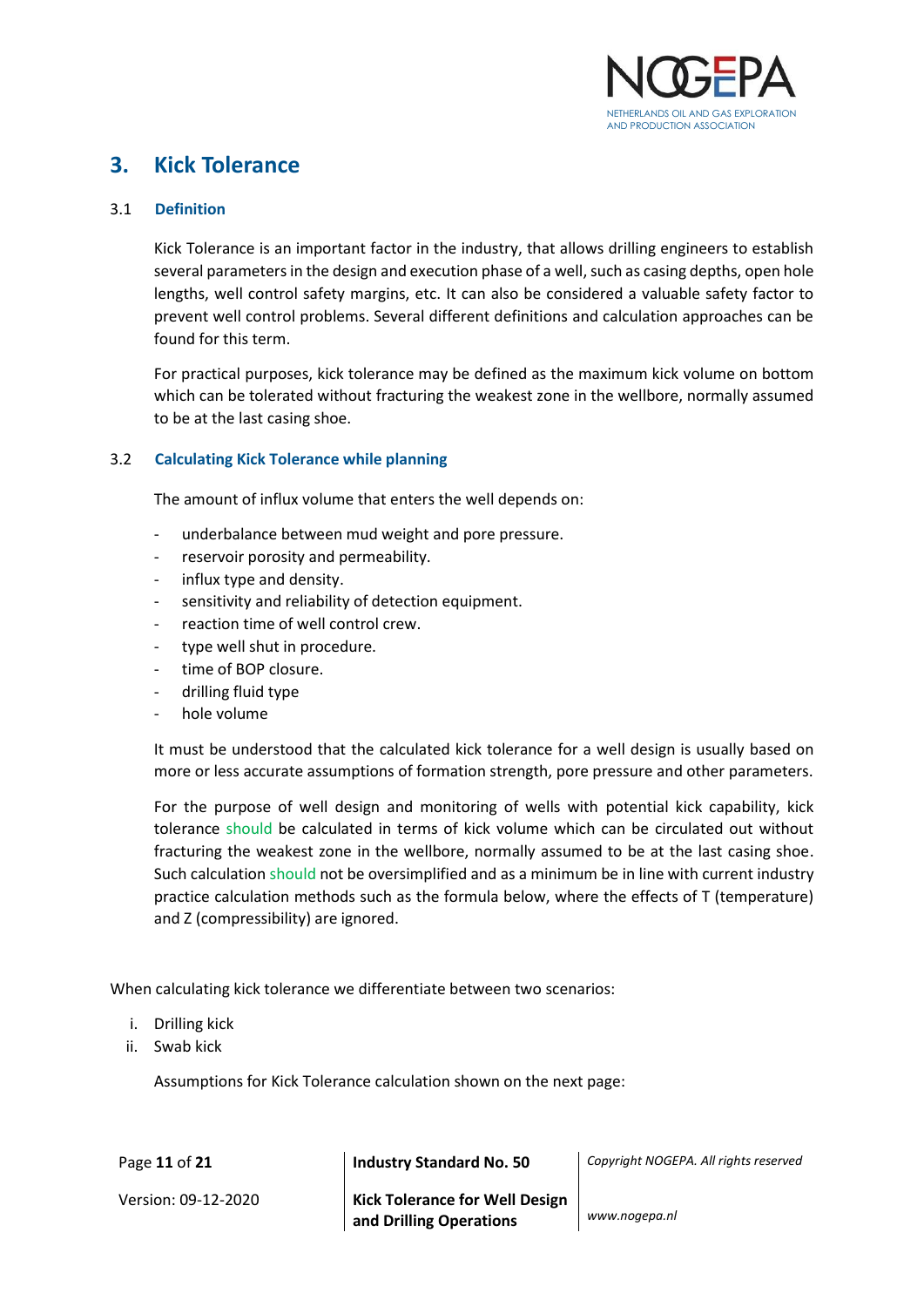

## <span id="page-10-0"></span>**3. Kick Tolerance**

## <span id="page-10-1"></span>3.1 **Definition**

Kick Tolerance is an important factor in the industry, that allows drilling engineers to establish several parameters in the design and execution phase of a well, such as casing depths, open hole lengths, well control safety margins, etc. It can also be considered a valuable safety factor to prevent well control problems. Several different definitions and calculation approaches can be found for this term.

For practical purposes, kick tolerance may be defined as the maximum kick volume on bottom which can be tolerated without fracturing the weakest zone in the wellbore, normally assumed to be at the last casing shoe.

## <span id="page-10-2"></span>3.2 **Calculating Kick Tolerance while planning**

The amount of influx volume that enters the well depends on:

- underbalance between mud weight and pore pressure.
- reservoir porosity and permeability.
- influx type and density.
- sensitivity and reliability of detection equipment.
- reaction time of well control crew.
- type well shut in procedure.
- time of BOP closure.
- drilling fluid type
- hole volume

It must be understood that the calculated kick tolerance for a well design is usually based on more or less accurate assumptions of formation strength, pore pressure and other parameters.

For the purpose of well design and monitoring of wells with potential kick capability, kick tolerance should be calculated in terms of kick volume which can be circulated out without fracturing the weakest zone in the wellbore, normally assumed to be at the last casing shoe. Such calculation should not be oversimplified and as a minimum be in line with current industry practice calculation methods such as the formula below, where the effects of T (temperature) and Z (compressibility) are ignored.

When calculating kick tolerance we differentiate between two scenarios:

- i. Drilling kick
- ii. Swab kick

Assumptions for Kick Tolerance calculation shown on the next page:

| Page 11 of 21       | <b>Industry Standard No. 50</b>                                        | Copyright NOGEPA. All rights reserved |
|---------------------|------------------------------------------------------------------------|---------------------------------------|
| Version: 09-12-2020 | Kick Tolerance for Well Design <sup>1</sup><br>and Drilling Operations | www.nogepa.nl                         |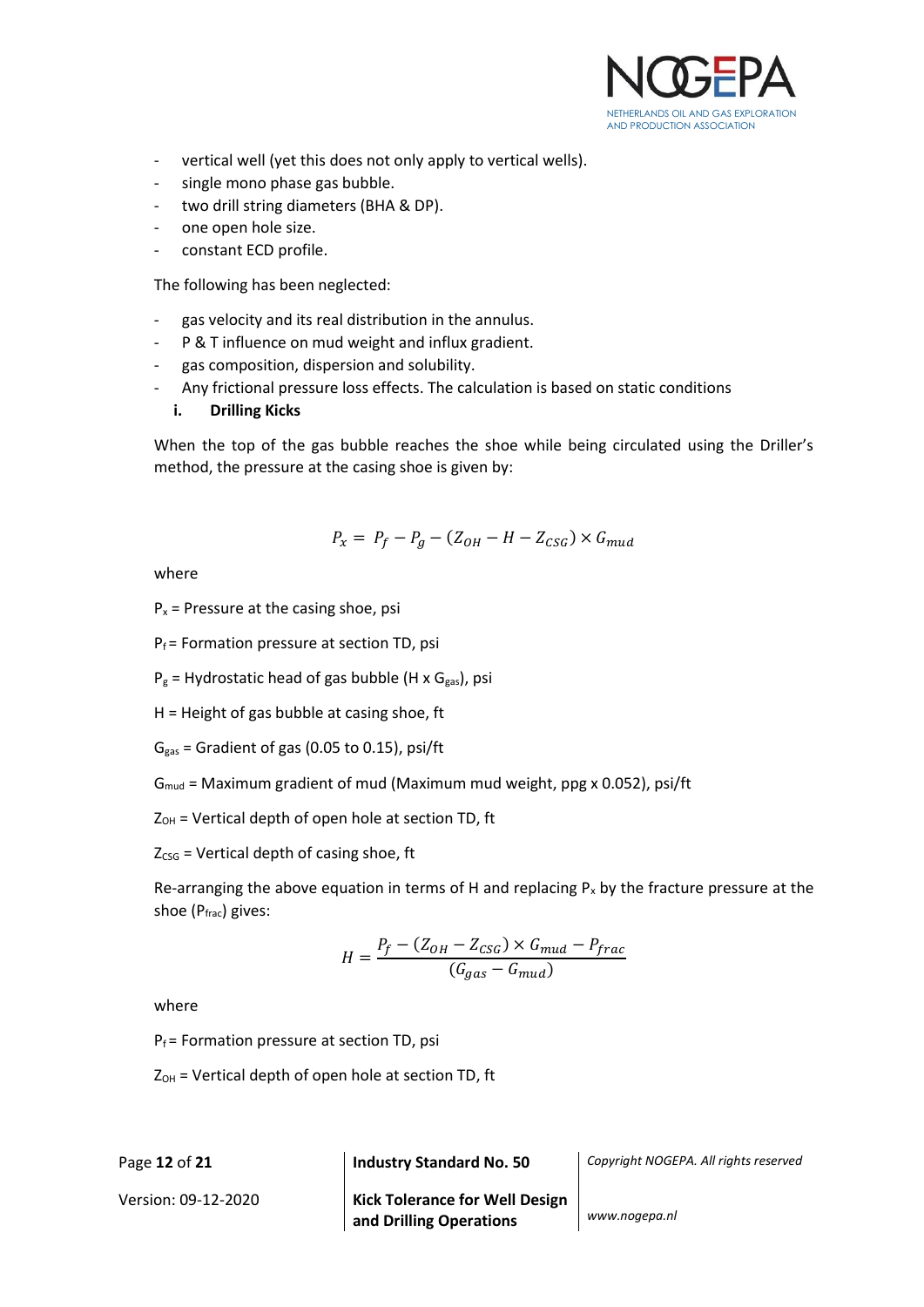

- vertical well (yet this does not only apply to vertical wells).
- single mono phase gas bubble.
- two drill string diameters (BHA & DP).
- one open hole size.
- constant ECD profile.

The following has been neglected:

- gas velocity and its real distribution in the annulus.
- P & T influence on mud weight and influx gradient.
- gas composition, dispersion and solubility.
- Any frictional pressure loss effects. The calculation is based on static conditions

#### **i. Drilling Kicks**

When the top of the gas bubble reaches the shoe while being circulated using the Driller's method, the pressure at the casing shoe is given by:

$$
P_x = P_f - P_g - (Z_{OH} - H - Z_{CSG}) \times G_{mud}
$$

where

 $P_x$  = Pressure at the casing shoe, psi

 $P_f$  = Formation pressure at section TD, psi

 $P_g$  = Hydrostatic head of gas bubble (H x G<sub>gas</sub>), psi

- H = Height of gas bubble at casing shoe, ft
- $G_{gas}$  = Gradient of gas (0.05 to 0.15), psi/ft

 $G_{\text{mud}}$  = Maximum gradient of mud (Maximum mud weight, ppg x 0.052), psi/ft

 $Z_{OH}$  = Vertical depth of open hole at section TD, ft

 $Z<sub>CSG</sub>$  = Vertical depth of casing shoe, ft

Re-arranging the above equation in terms of H and replacing  $P_x$  by the fracture pressure at the shoe (Pfrac) gives:

$$
H = \frac{P_f - (Z_{OH} - Z_{CSG}) \times G_{mud} - P_{frac}}{(G_{gas} - G_{mud})}
$$

where

 $P_f$  = Formation pressure at section TD, psi

 $Z_{OH}$  = Vertical depth of open hole at section TD, ft

Page **12** of **21 Industry Standard No. 50** *Copyright NOGEPA. All rights reserved*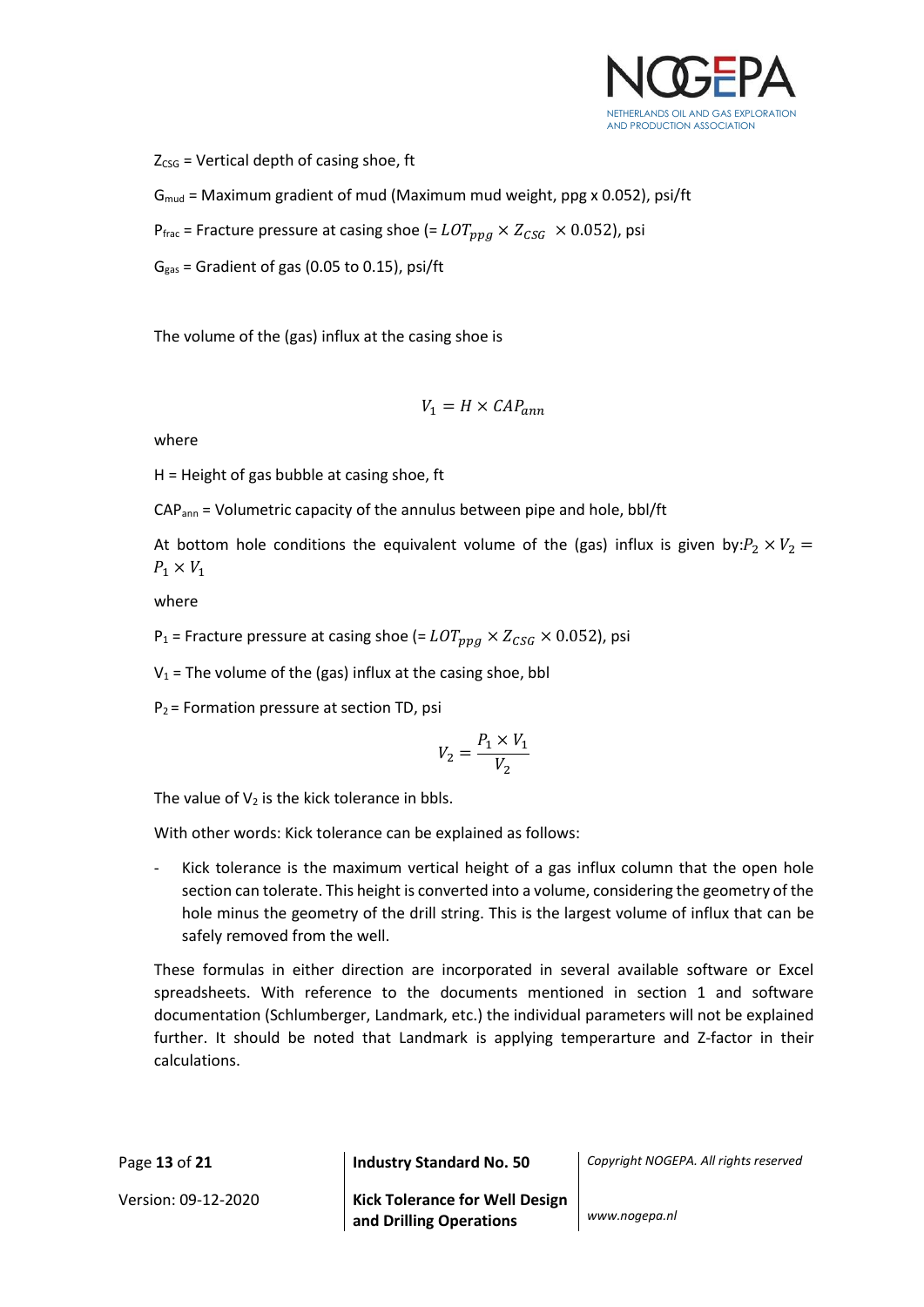

 $Z<sub>CSG</sub>$  = Vertical depth of casing shoe, ft

 $G_{\text{mud}}$  = Maximum gradient of mud (Maximum mud weight, ppg x 0.052), psi/ft

 $P_{\text{frac}}$  = Fracture pressure at casing shoe (=  $LOT_{\text{p}pq} \times Z_{CSG} \times 0.052$ ), psi

 $G_{gas}$  = Gradient of gas (0.05 to 0.15), psi/ft

The volume of the (gas) influx at the casing shoe is

$$
V_1 = H \times CAP_{ann}
$$

where

H = Height of gas bubble at casing shoe, ft

CAPann = Volumetric capacity of the annulus between pipe and hole, bbl/ft

At bottom hole conditions the equivalent volume of the (gas) influx is given by: $P_2 \times V_2 =$  $P_1 \times V_1$ 

where

 $P_1$  = Fracture pressure at casing shoe (=  $LOT_{ppq} \times Z_{CSG} \times 0.052$ ), psi

 $V_1$  = The volume of the (gas) influx at the casing shoe, bbl

 $P_2$  = Formation pressure at section TD, psi

$$
V_2 = \frac{P_1 \times V_1}{V_2}
$$

The value of  $V_2$  is the kick tolerance in bbls.

With other words: Kick tolerance can be explained as follows:

Kick tolerance is the maximum vertical height of a gas influx column that the open hole section can tolerate. This height is converted into a volume, considering the geometry of the hole minus the geometry of the drill string. This is the largest volume of influx that can be safely removed from the well.

These formulas in either direction are incorporated in several available software or Excel spreadsheets. With reference to the documents mentioned in section 1 and software documentation (Schlumberger, Landmark, etc.) the individual parameters will not be explained further. It should be noted that Landmark is applying temperarture and Z-factor in their calculations.

Page **13** of **21 Industry Standard No. 50** *Copyright NOGEPA. All rights reserved* Version: 09-12-2020 **Kick Tolerance for Well Design and Drilling Operations** *www.nogepa.nl*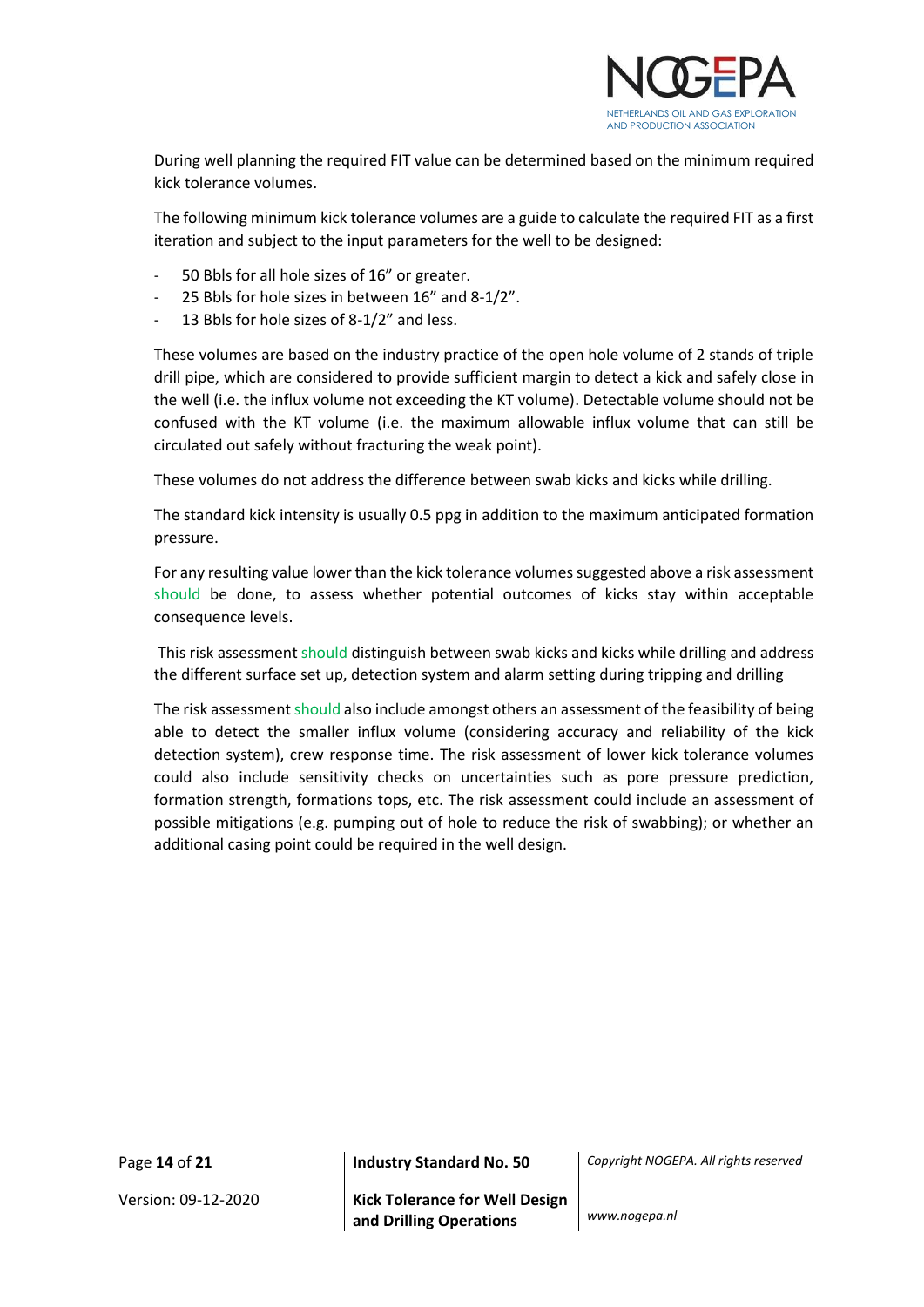

During well planning the required FIT value can be determined based on the minimum required kick tolerance volumes.

The following minimum kick tolerance volumes are a guide to calculate the required FIT as a first iteration and subject to the input parameters for the well to be designed:

- 50 Bbls for all hole sizes of 16" or greater.
- 25 Bbls for hole sizes in between 16" and 8-1/2".
- 13 Bbls for hole sizes of 8-1/2" and less.

These volumes are based on the industry practice of the open hole volume of 2 stands of triple drill pipe, which are considered to provide sufficient margin to detect a kick and safely close in the well (i.e. the influx volume not exceeding the KT volume). Detectable volume should not be confused with the KT volume (i.e. the maximum allowable influx volume that can still be circulated out safely without fracturing the weak point).

These volumes do not address the difference between swab kicks and kicks while drilling.

The standard kick intensity is usually 0.5 ppg in addition to the maximum anticipated formation pressure.

For any resulting value lower than the kick tolerance volumes suggested above a risk assessment should be done, to assess whether potential outcomes of kicks stay within acceptable consequence levels.

This risk assessment should distinguish between swab kicks and kicks while drilling and address the different surface set up, detection system and alarm setting during tripping and drilling

The risk assessment should also include amongst others an assessment of the feasibility of being able to detect the smaller influx volume (considering accuracy and reliability of the kick detection system), crew response time. The risk assessment of lower kick tolerance volumes could also include sensitivity checks on uncertainties such as pore pressure prediction, formation strength, formations tops, etc. The risk assessment could include an assessment of possible mitigations (e.g. pumping out of hole to reduce the risk of swabbing); or whether an additional casing point could be required in the well design.

Page **14** of **21 Industry Standard No. 50** *Copyright NOGEPA. All rights reserved*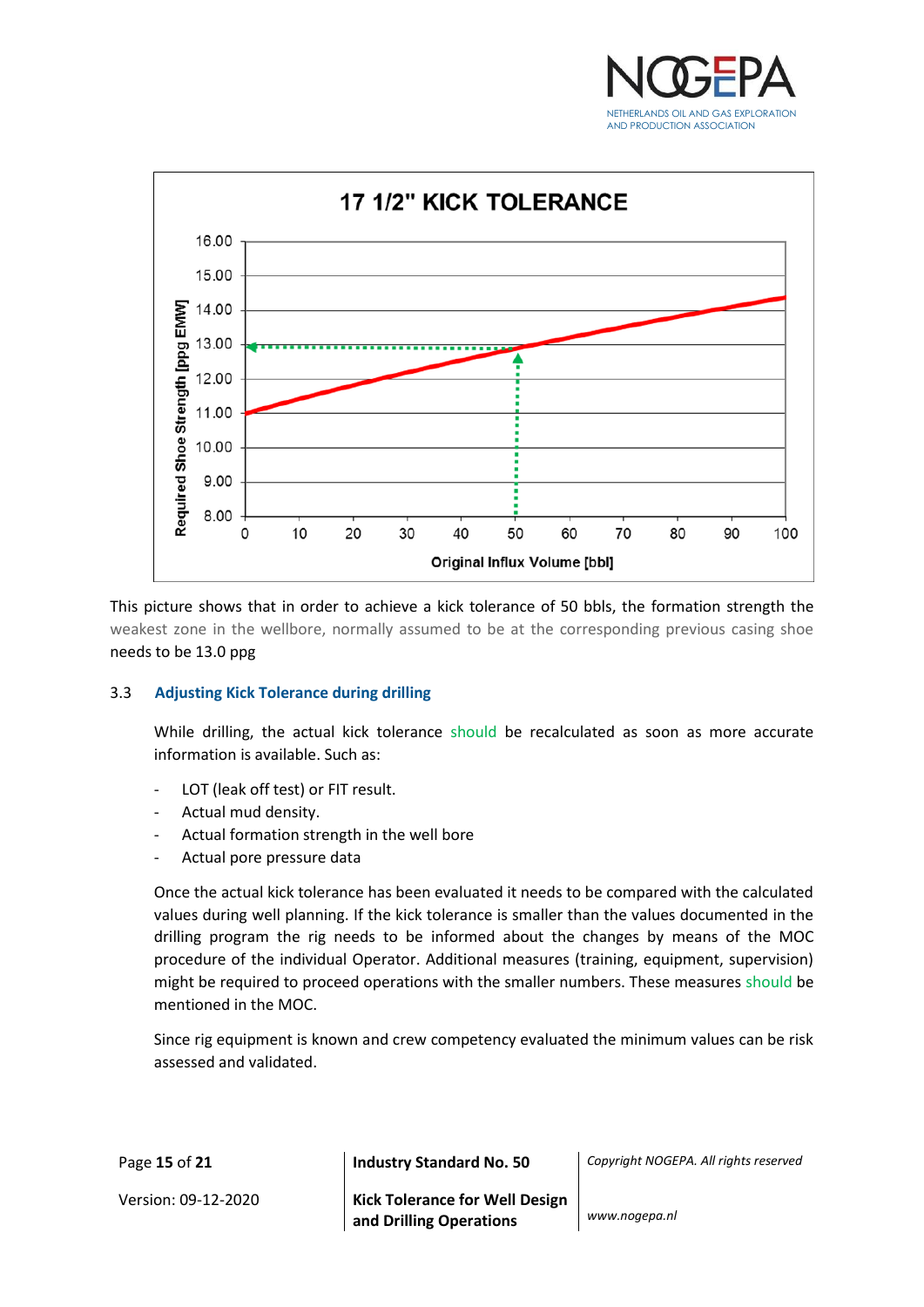



This picture shows that in order to achieve a kick tolerance of 50 bbls, the formation strength the weakest zone in the wellbore, normally assumed to be at the corresponding previous casing shoe needs to be 13.0 ppg

#### <span id="page-14-0"></span>3.3 **Adjusting Kick Tolerance during drilling**

While drilling, the actual kick tolerance should be recalculated as soon as more accurate information is available. Such as:

- LOT (leak off test) or FIT result.
- Actual mud density.
- Actual formation strength in the well bore
- Actual pore pressure data

Once the actual kick tolerance has been evaluated it needs to be compared with the calculated values during well planning. If the kick tolerance is smaller than the values documented in the drilling program the rig needs to be informed about the changes by means of the MOC procedure of the individual Operator. Additional measures (training, equipment, supervision) might be required to proceed operations with the smaller numbers. These measures should be mentioned in the MOC.

Since rig equipment is known and crew competency evaluated the minimum values can be risk assessed and validated.

| Page 15 of 21       | <b>Industry Standard No. 50</b>                           | Copyright NOGEPA. All rights reserved |
|---------------------|-----------------------------------------------------------|---------------------------------------|
| Version: 09-12-2020 | Kick Tolerance for Well Design<br>and Drilling Operations | www.nogepa.nl                         |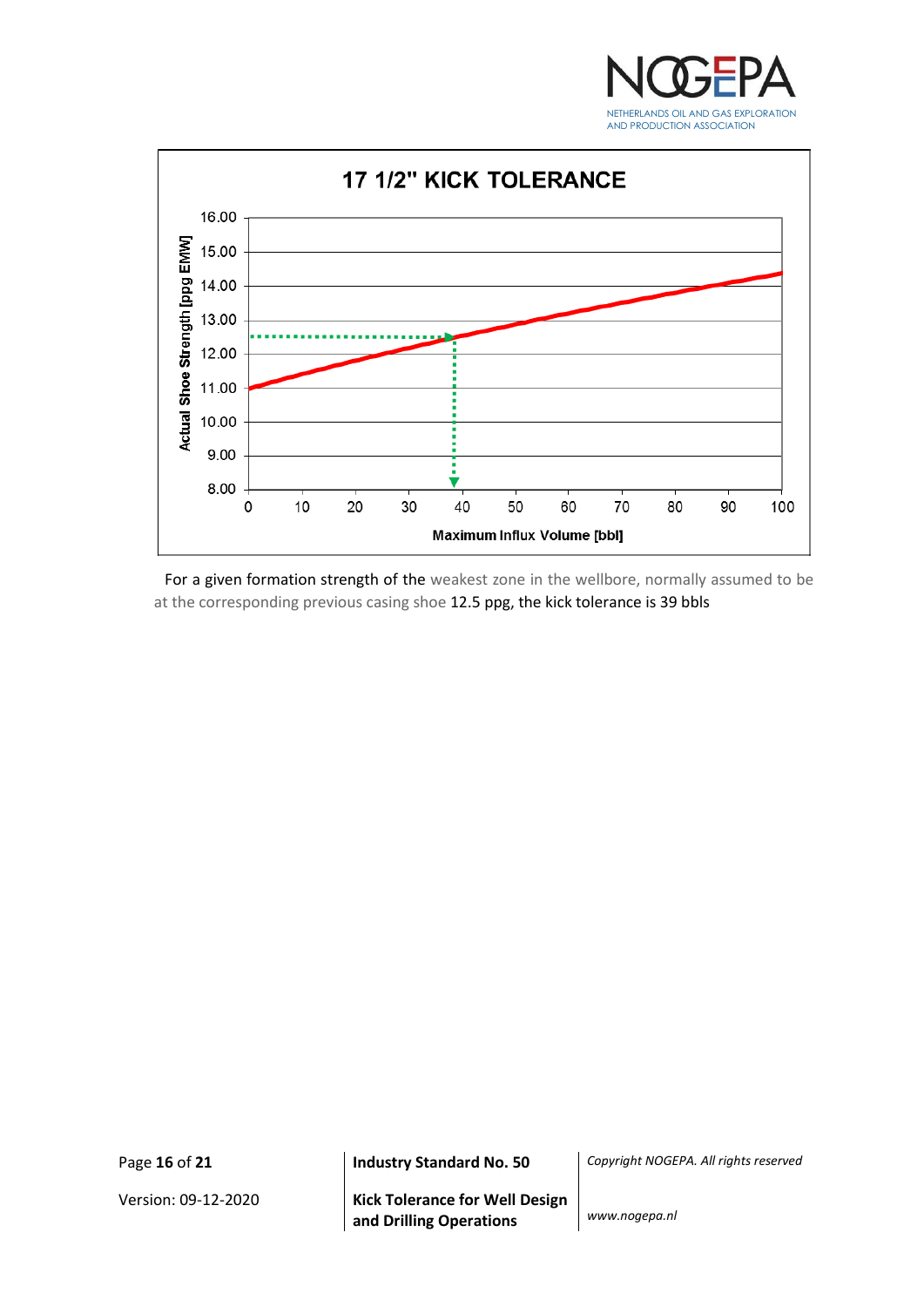



For a given formation strength of the weakest zone in the wellbore, normally assumed to be at the corresponding previous casing shoe 12.5 ppg, the kick tolerance is 39 bbls

Page **16** of **21 Industry Standard No. 50** *Copyright NOGEPA. All rights reserved*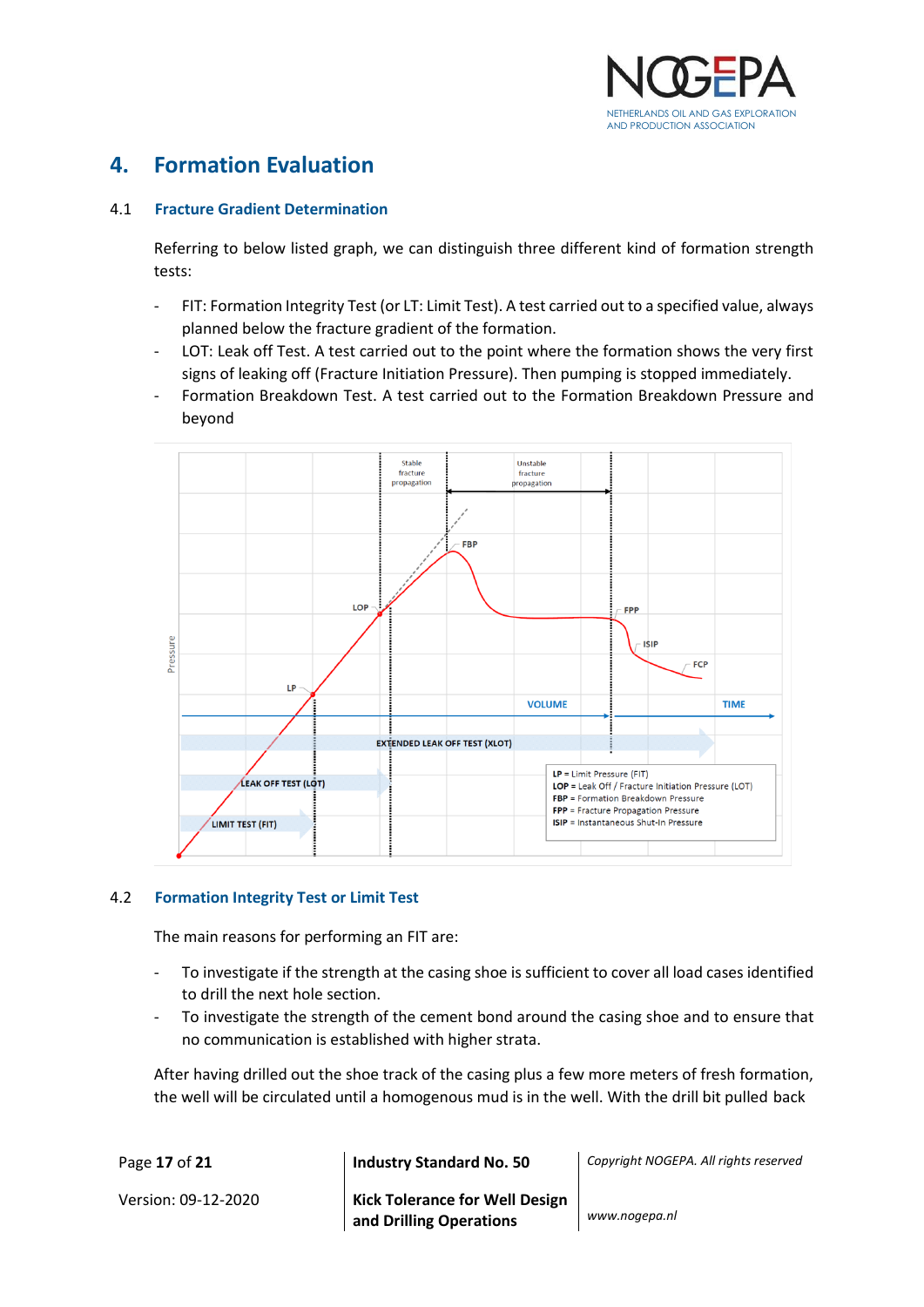

## <span id="page-16-0"></span>**4. Formation Evaluation**

## <span id="page-16-1"></span>4.1 **Fracture Gradient Determination**

Referring to below listed graph, we can distinguish three different kind of formation strength tests:

- FIT: Formation Integrity Test (or LT: Limit Test). A test carried out to a specified value, always planned below the fracture gradient of the formation.
- LOT: Leak off Test. A test carried out to the point where the formation shows the very first signs of leaking off (Fracture Initiation Pressure). Then pumping is stopped immediately.
- Formation Breakdown Test. A test carried out to the Formation Breakdown Pressure and beyond



#### <span id="page-16-2"></span>4.2 **Formation Integrity Test or Limit Test**

The main reasons for performing an FIT are:

- To investigate if the strength at the casing shoe is sufficient to cover all load cases identified to drill the next hole section.
- To investigate the strength of the cement bond around the casing shoe and to ensure that no communication is established with higher strata.

After having drilled out the shoe track of the casing plus a few more meters of fresh formation, the well will be circulated until a homogenous mud is in the well. With the drill bit pulled back

| Page 17 of 21       | <b>Industry Standard No. 50</b>                             | Copyright NOGEPA. All rights reserved |
|---------------------|-------------------------------------------------------------|---------------------------------------|
| Version: 09-12-2020 | Kick Tolerance for Well Design<br>  and Drilling Operations | www.nogepa.nl                         |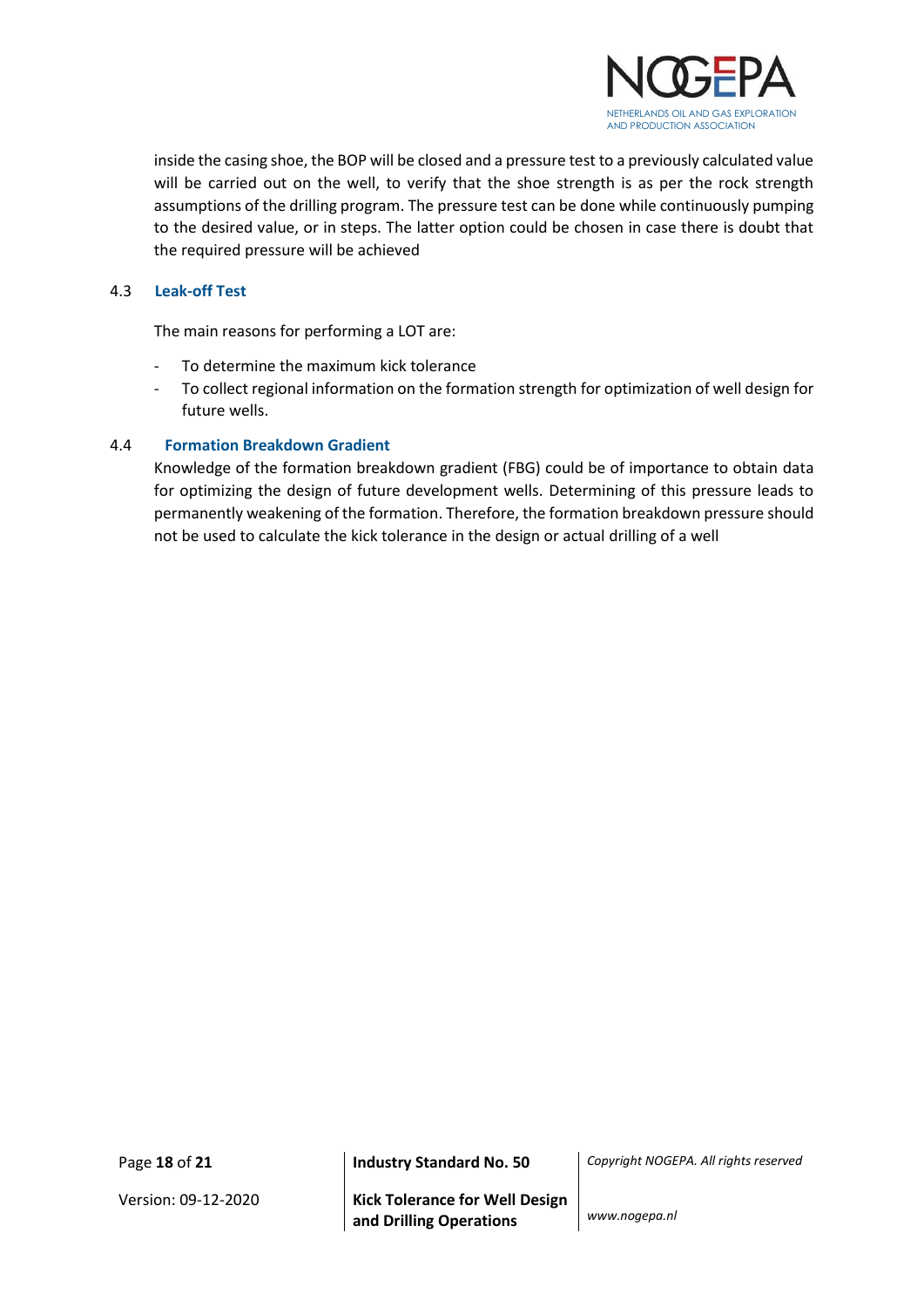

inside the casing shoe, the BOP will be closed and a pressure test to a previously calculated value will be carried out on the well, to verify that the shoe strength is as per the rock strength assumptions of the drilling program. The pressure test can be done while continuously pumping to the desired value, or in steps. The latter option could be chosen in case there is doubt that the required pressure will be achieved

## <span id="page-17-0"></span>4.3 **Leak-off Test**

The main reasons for performing a LOT are:

- To determine the maximum kick tolerance
- To collect regional information on the formation strength for optimization of well design for future wells.

## <span id="page-17-1"></span>4.4 **Formation Breakdown Gradient**

Knowledge of the formation breakdown gradient (FBG) could be of importance to obtain data for optimizing the design of future development wells. Determining of this pressure leads to permanently weakening of the formation. Therefore, the formation breakdown pressure should not be used to calculate the kick tolerance in the design or actual drilling of a well

Page **18** of **21 Industry Standard No. 50** *Copyright NOGEPA. All rights reserved*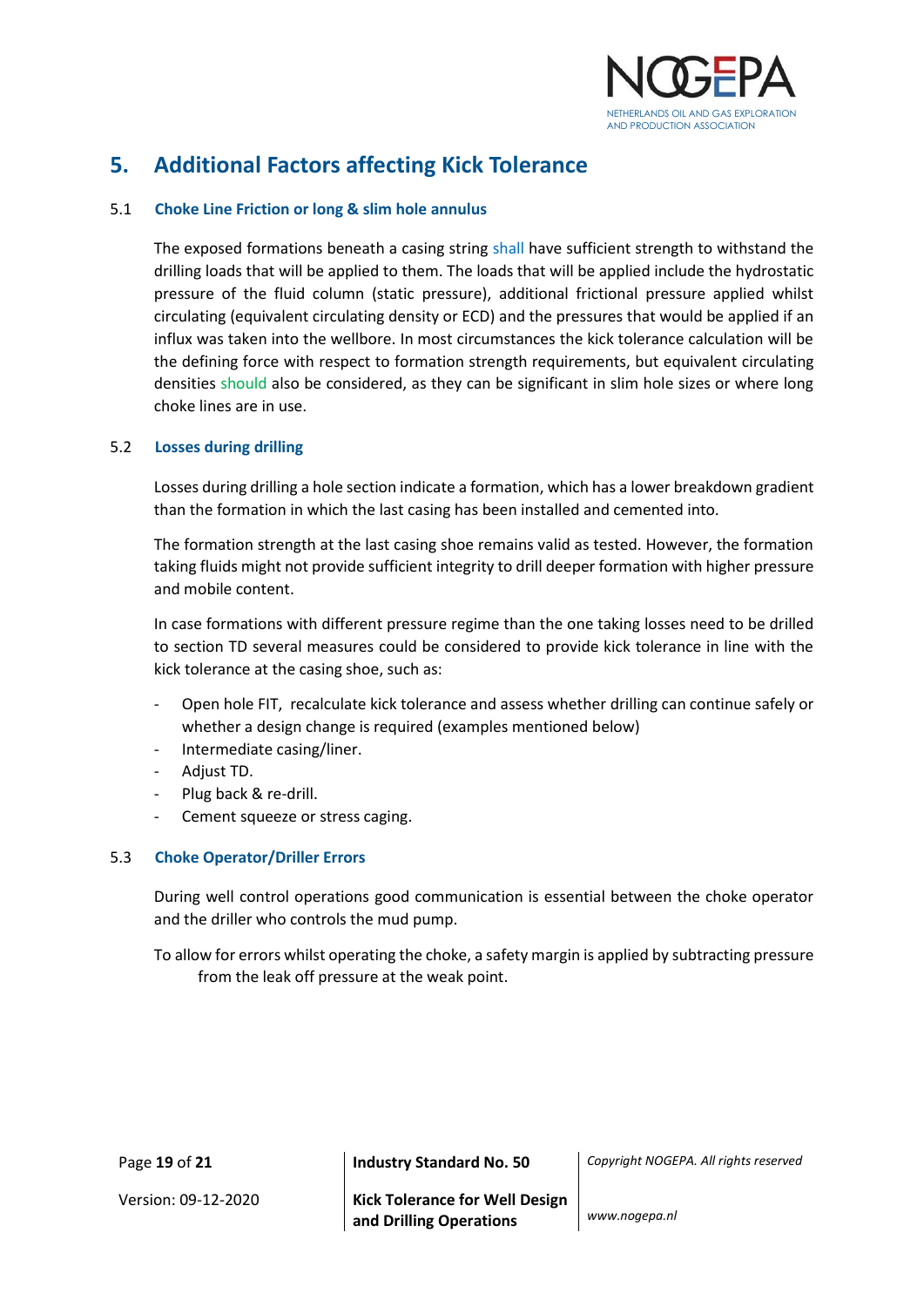

## <span id="page-18-0"></span>**5. Additional Factors affecting Kick Tolerance**

## <span id="page-18-1"></span>5.1 **Choke Line Friction or long & slim hole annulus**

The exposed formations beneath a casing string shall have sufficient strength to withstand the drilling loads that will be applied to them. The loads that will be applied include the hydrostatic pressure of the fluid column (static pressure), additional frictional pressure applied whilst circulating (equivalent circulating density or ECD) and the pressures that would be applied if an influx was taken into the wellbore. In most circumstances the kick tolerance calculation will be the defining force with respect to formation strength requirements, but equivalent circulating densities should also be considered, as they can be significant in slim hole sizes or where long choke lines are in use.

#### <span id="page-18-2"></span>5.2 **Losses during drilling**

Losses during drilling a hole section indicate a formation, which has a lower breakdown gradient than the formation in which the last casing has been installed and cemented into.

The formation strength at the last casing shoe remains valid as tested. However, the formation taking fluids might not provide sufficient integrity to drill deeper formation with higher pressure and mobile content.

In case formations with different pressure regime than the one taking losses need to be drilled to section TD several measures could be considered to provide kick tolerance in line with the kick tolerance at the casing shoe, such as:

- Open hole FIT, recalculate kick tolerance and assess whether drilling can continue safely or whether a design change is required (examples mentioned below)
- Intermediate casing/liner.
- Adjust TD.
- Plug back & re-drill.
- Cement squeeze or stress caging.

#### <span id="page-18-3"></span>5.3 **Choke Operator/Driller Errors**

During well control operations good communication is essential between the choke operator and the driller who controls the mud pump.

To allow for errors whilst operating the choke, a safety margin is applied by subtracting pressure from the leak off pressure at the weak point.

| Page 19 of 21       | Industry Standard No. 50              | Copyright NOGEP |
|---------------------|---------------------------------------|-----------------|
| Version: 09-12-2020 | <b>Kick Tolerance for Well Design</b> |                 |

Page **19** of **21 Industry Standard No. 50** *Copyright NOGEPA. All rights reserved*

**and Drilling Operations** *www.nogepa.nl*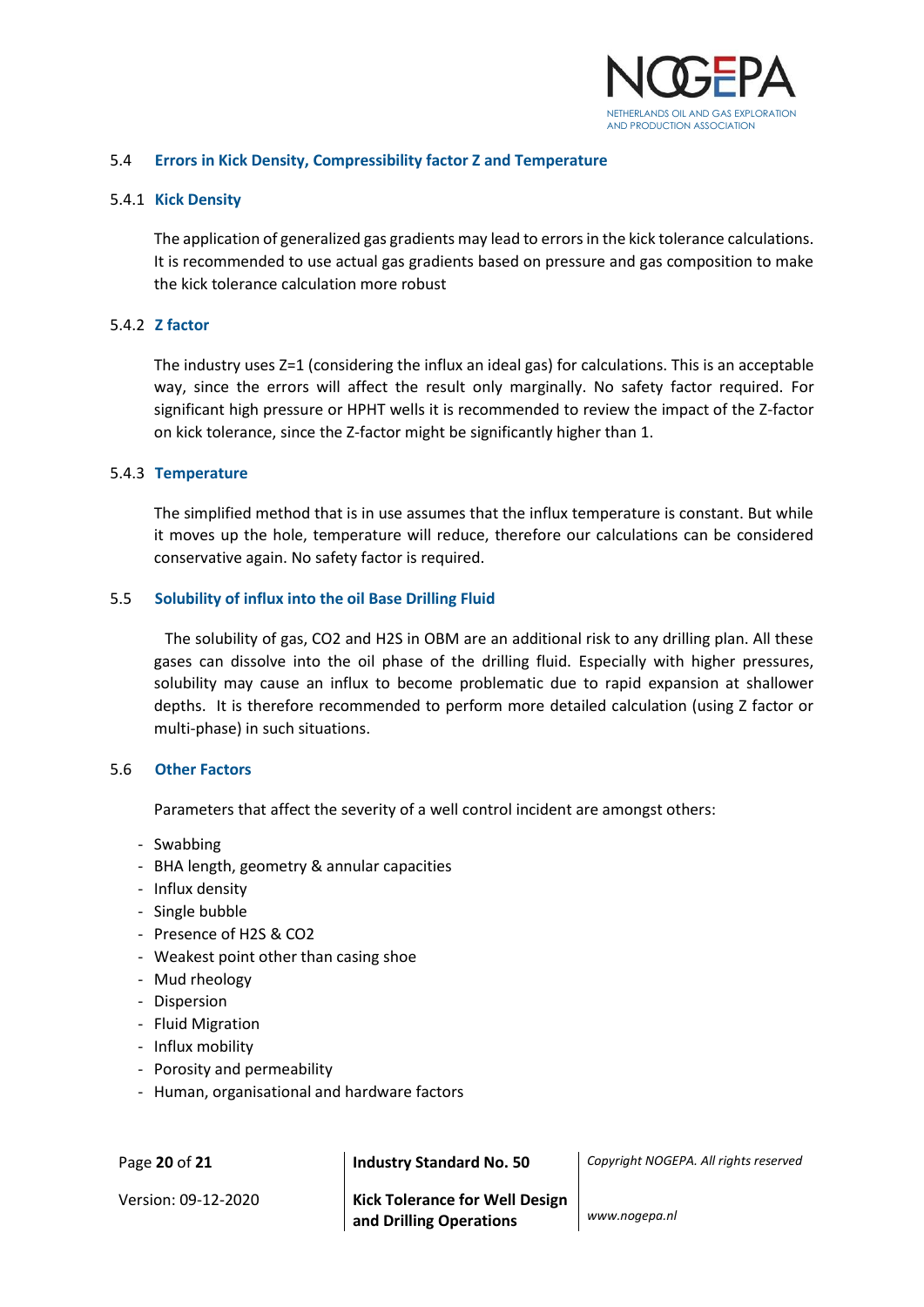

#### <span id="page-19-0"></span>5.4 **Errors in Kick Density, Compressibility factor Z and Temperature**

#### <span id="page-19-1"></span>5.4.1 **Kick Density**

The application of generalized gas gradients may lead to errors in the kick tolerance calculations. It is recommended to use actual gas gradients based on pressure and gas composition to make the kick tolerance calculation more robust

#### <span id="page-19-2"></span>5.4.2 **Z factor**

The industry uses Z=1 (considering the influx an ideal gas) for calculations. This is an acceptable way, since the errors will affect the result only marginally. No safety factor required. For significant high pressure or HPHT wells it is recommended to review the impact of the Z-factor on kick tolerance, since the Z-factor might be significantly higher than 1.

#### <span id="page-19-3"></span>5.4.3 **Temperature**

The simplified method that is in use assumes that the influx temperature is constant. But while it moves up the hole, temperature will reduce, therefore our calculations can be considered conservative again. No safety factor is required.

#### <span id="page-19-4"></span>5.5 **Solubility of influx into the oil Base Drilling Fluid**

The solubility of gas, CO2 and H2S in OBM are an additional risk to any drilling plan. All these gases can dissolve into the oil phase of the drilling fluid. Especially with higher pressures, solubility may cause an influx to become problematic due to rapid expansion at shallower depths. It is therefore recommended to perform more detailed calculation (using Z factor or multi-phase) in such situations.

#### <span id="page-19-5"></span>5.6 **Other Factors**

Parameters that affect the severity of a well control incident are amongst others:

- Swabbing
- BHA length, geometry & annular capacities
- Influx density
- Single bubble
- Presence of H2S & CO2
- Weakest point other than casing shoe
- Mud rheology
- Dispersion
- Fluid Migration
- Influx mobility
- Porosity and permeability
- Human, organisational and hardware factors

| Page 20 of 21       | <b>Industry Standard No. 50</b>                                  | Copyright NOGEPA. All rights reserved |
|---------------------|------------------------------------------------------------------|---------------------------------------|
| Version: 09-12-2020 | <b>Kick Tolerance for Well Design</b><br>and Drilling Operations | www.nogepa.nl                         |